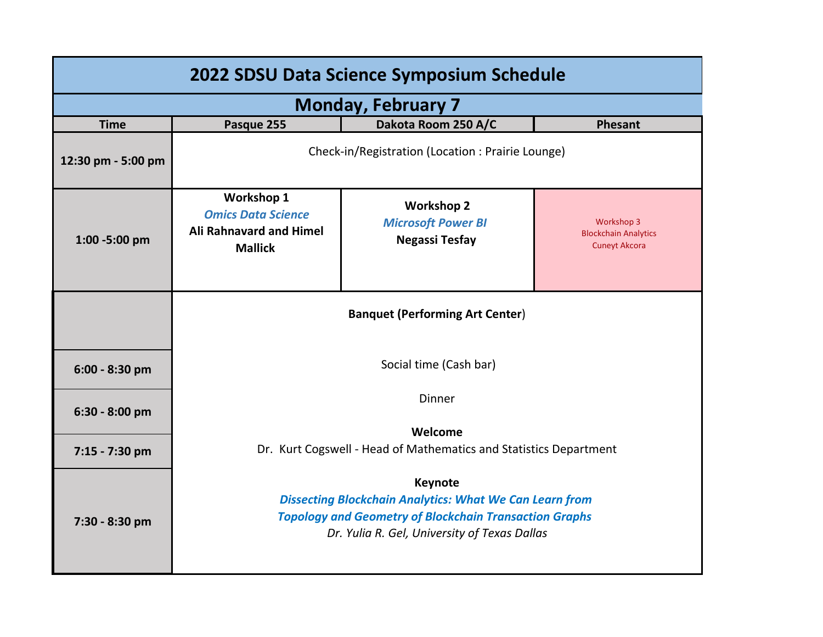| 2022 SDSU Data Science Symposium Schedule |                                                                                                                                                                                                   |                                                                         |                                                                   |  |  |  |
|-------------------------------------------|---------------------------------------------------------------------------------------------------------------------------------------------------------------------------------------------------|-------------------------------------------------------------------------|-------------------------------------------------------------------|--|--|--|
| <b>Monday, February 7</b>                 |                                                                                                                                                                                                   |                                                                         |                                                                   |  |  |  |
| <b>Time</b>                               | Pasque 255                                                                                                                                                                                        | Dakota Room 250 A/C                                                     | <b>Phesant</b>                                                    |  |  |  |
| 12:30 pm - 5:00 pm                        | Check-in/Registration (Location: Prairie Lounge)                                                                                                                                                  |                                                                         |                                                                   |  |  |  |
| 1:00 -5:00 pm                             | <b>Workshop 1</b><br><b>Omics Data Science</b><br><b>Ali Rahnavard and Himel</b><br><b>Mallick</b>                                                                                                | <b>Workshop 2</b><br><b>Microsoft Power BI</b><br><b>Negassi Tesfay</b> | Workshop 3<br><b>Blockchain Analytics</b><br><b>Cuneyt Akcora</b> |  |  |  |
|                                           | <b>Banquet (Performing Art Center)</b>                                                                                                                                                            |                                                                         |                                                                   |  |  |  |
| $6:00 - 8:30$ pm                          | Social time (Cash bar)                                                                                                                                                                            |                                                                         |                                                                   |  |  |  |
| $6:30 - 8:00$ pm                          | Dinner                                                                                                                                                                                            |                                                                         |                                                                   |  |  |  |
|                                           | Welcome                                                                                                                                                                                           |                                                                         |                                                                   |  |  |  |
| 7:15 - 7:30 pm                            | Dr. Kurt Cogswell - Head of Mathematics and Statistics Department                                                                                                                                 |                                                                         |                                                                   |  |  |  |
| 7:30 - 8:30 pm                            | <b>Keynote</b><br><b>Dissecting Blockchain Analytics: What We Can Learn from</b><br><b>Topology and Geometry of Blockchain Transaction Graphs</b><br>Dr. Yulia R. Gel, University of Texas Dallas |                                                                         |                                                                   |  |  |  |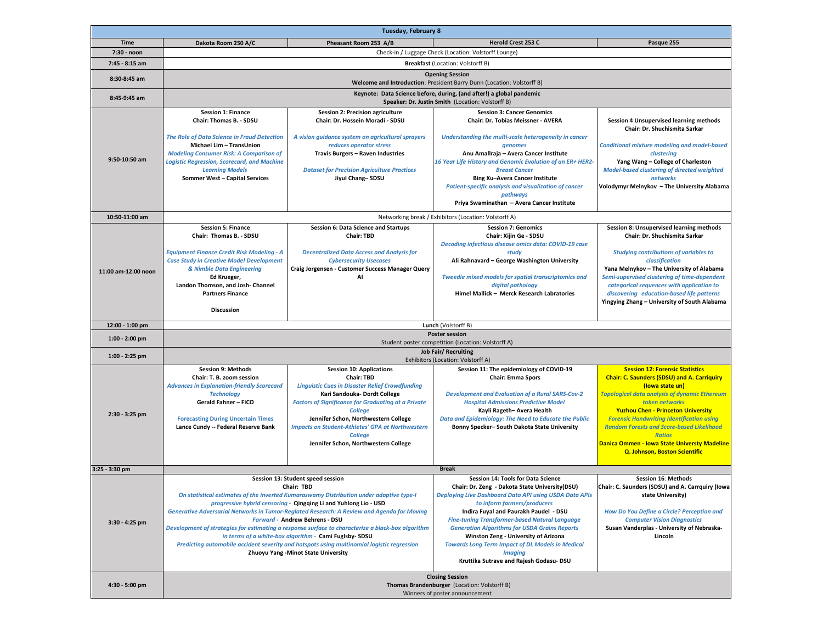|                     |                                                                                                                                                                                                                                                                                                                                                                                                                                                                                                                                                                                                                                                          | Tuesday, February 8                                                                                                                                                                                                                                                                                                                                                                  |                                                                                                                                                                                                                                                                                                                                                                                                                                                                                                          |                                                                                                                                                                                                                                                                                                                                                                                                                                                  |  |  |
|---------------------|----------------------------------------------------------------------------------------------------------------------------------------------------------------------------------------------------------------------------------------------------------------------------------------------------------------------------------------------------------------------------------------------------------------------------------------------------------------------------------------------------------------------------------------------------------------------------------------------------------------------------------------------------------|--------------------------------------------------------------------------------------------------------------------------------------------------------------------------------------------------------------------------------------------------------------------------------------------------------------------------------------------------------------------------------------|----------------------------------------------------------------------------------------------------------------------------------------------------------------------------------------------------------------------------------------------------------------------------------------------------------------------------------------------------------------------------------------------------------------------------------------------------------------------------------------------------------|--------------------------------------------------------------------------------------------------------------------------------------------------------------------------------------------------------------------------------------------------------------------------------------------------------------------------------------------------------------------------------------------------------------------------------------------------|--|--|
| <b>Time</b>         | Dakota Room 250 A/C                                                                                                                                                                                                                                                                                                                                                                                                                                                                                                                                                                                                                                      | Pheasant Room 253 A/B                                                                                                                                                                                                                                                                                                                                                                | <b>Herold Crest 253 C</b>                                                                                                                                                                                                                                                                                                                                                                                                                                                                                | Pasque 255                                                                                                                                                                                                                                                                                                                                                                                                                                       |  |  |
| 7:30 - noon         |                                                                                                                                                                                                                                                                                                                                                                                                                                                                                                                                                                                                                                                          |                                                                                                                                                                                                                                                                                                                                                                                      | Check-in / Luggage Check (Location: Volstorff Lounge)                                                                                                                                                                                                                                                                                                                                                                                                                                                    |                                                                                                                                                                                                                                                                                                                                                                                                                                                  |  |  |
| 7:45 - 8:15 am      | <b>Breakfast (Location: Volstorff B)</b>                                                                                                                                                                                                                                                                                                                                                                                                                                                                                                                                                                                                                 |                                                                                                                                                                                                                                                                                                                                                                                      |                                                                                                                                                                                                                                                                                                                                                                                                                                                                                                          |                                                                                                                                                                                                                                                                                                                                                                                                                                                  |  |  |
| 8:30-8:45 am        | <b>Opening Session</b><br>Welcome and Introduction: President Barry Dunn (Location: Volstorff B)                                                                                                                                                                                                                                                                                                                                                                                                                                                                                                                                                         |                                                                                                                                                                                                                                                                                                                                                                                      |                                                                                                                                                                                                                                                                                                                                                                                                                                                                                                          |                                                                                                                                                                                                                                                                                                                                                                                                                                                  |  |  |
| 8:45-9:45 am        |                                                                                                                                                                                                                                                                                                                                                                                                                                                                                                                                                                                                                                                          |                                                                                                                                                                                                                                                                                                                                                                                      | Keynote: Data Science before, during, (and after!) a global pandemic<br>Speaker: Dr. Justin Smith (Location: Volstorff B)                                                                                                                                                                                                                                                                                                                                                                                |                                                                                                                                                                                                                                                                                                                                                                                                                                                  |  |  |
|                     | <b>Session 1: Finance</b>                                                                                                                                                                                                                                                                                                                                                                                                                                                                                                                                                                                                                                | Session 2: Precision agriculture                                                                                                                                                                                                                                                                                                                                                     | <b>Session 3: Cancer Genomics</b>                                                                                                                                                                                                                                                                                                                                                                                                                                                                        |                                                                                                                                                                                                                                                                                                                                                                                                                                                  |  |  |
| 9:50-10:50 am       | Chair: Thomas B. - SDSU<br><b>The Role of Data Science in Fraud Detection</b><br>Michael Lim - TransUnion<br><b>Modeling Consumer Risk: A Comparison of</b><br><b>Logistic Regression, Scorecard, and Machine</b><br><b>Learning Models</b><br>Sommer West - Capital Services                                                                                                                                                                                                                                                                                                                                                                            | Chair: Dr. Hossein Moradi - SDSU<br>A vision guidance system on agricultural sprayers<br>reduces operator stress<br>Travis Burgers - Raven Industries<br><b>Dataset for Precision Agriculture Practices</b><br>Jiyul Chang-SDSU                                                                                                                                                      | Chair: Dr. Tobias Meissner - AVERA<br>Understanding the multi-scale heterogeneity in cancer<br>genomes<br>Anu Amallraja - Avera Cancer Institute<br>16 Year Life History and Genomic Evolution of an ER+ HER2-<br><b>Breast Cancer</b><br>Bing Xu-Avera Cancer Institute<br>Patient-specific analysis and visualization of cancer<br>pathways<br>Priya Swaminathan - Avera Cancer Institute                                                                                                              | Session 4 Unsupervised learning methods<br>Chair: Dr. Shuchismita Sarkar<br><b>Conditional mixture modeling and model-based</b><br>clustering<br>Yang Wang - College of Charleston<br>Model-based clustering of directed weighted<br>networks<br>Volodymyr Melnykov - The University Alabama                                                                                                                                                     |  |  |
| 10:50-11:00 am      |                                                                                                                                                                                                                                                                                                                                                                                                                                                                                                                                                                                                                                                          |                                                                                                                                                                                                                                                                                                                                                                                      | Networking break / Exhibitors (Location: Volstorff A)                                                                                                                                                                                                                                                                                                                                                                                                                                                    |                                                                                                                                                                                                                                                                                                                                                                                                                                                  |  |  |
| 11:00 am-12:00 noon | <b>Session 5: Finance</b><br>Chair: Thomas B. - SDSU<br><b>Equipment Finance Credit Risk Modeling - A</b><br><b>Case Study in Creative Model Development</b><br>& Nimble Data Engineering<br>Ed Krueger,<br>Landon Thomson, and Josh- Channel<br><b>Partners Finance</b><br><b>Discussion</b>                                                                                                                                                                                                                                                                                                                                                            | Session 6: Data Science and Startups<br><b>Chair: TBD</b><br><b>Decentralized Data Access and Analysis for</b><br><b>Cybersecurity Usecases</b><br>Craig Jorgensen - Customer Success Manager Query<br>Al                                                                                                                                                                            | <b>Session 7: Genomics</b><br>Chair: Xijin Ge - SDSU<br>Decoding infectious disease omics data: COVID-19 case<br>study<br>Ali Rahnavard - George Washington University<br>Tweedie mixed models for spatial transcriptomics and<br>digital pathology<br>Himel Mallick - Merck Research Labratories                                                                                                                                                                                                        | Session 8: Unsupervised learning methods<br>Chair: Dr. Shuchismita Sarkar<br><b>Studying contributions of variables to</b><br>classification<br>Yana Melnykov - The University of Alabama<br>Semi-supervised clustering of time-dependent<br>categorical sequences with application to<br>discovering education-based life patterns<br>Yingying Zhang - University of South Alabama                                                              |  |  |
| 12:00 - 1:00 pm     |                                                                                                                                                                                                                                                                                                                                                                                                                                                                                                                                                                                                                                                          |                                                                                                                                                                                                                                                                                                                                                                                      | Lunch (Volstorff B)                                                                                                                                                                                                                                                                                                                                                                                                                                                                                      |                                                                                                                                                                                                                                                                                                                                                                                                                                                  |  |  |
| $1:00 - 2:00$ pm    |                                                                                                                                                                                                                                                                                                                                                                                                                                                                                                                                                                                                                                                          |                                                                                                                                                                                                                                                                                                                                                                                      | <b>Poster session</b><br>Student poster competition (Location: Volstorff A)                                                                                                                                                                                                                                                                                                                                                                                                                              |                                                                                                                                                                                                                                                                                                                                                                                                                                                  |  |  |
| 1:00 - 2:25 pm      | <b>Job Fair/ Recruiting</b><br>Exhibitors (Location: Volstorff A)                                                                                                                                                                                                                                                                                                                                                                                                                                                                                                                                                                                        |                                                                                                                                                                                                                                                                                                                                                                                      |                                                                                                                                                                                                                                                                                                                                                                                                                                                                                                          |                                                                                                                                                                                                                                                                                                                                                                                                                                                  |  |  |
| 2:30 - 3:25 pm      | <b>Session 9: Methods</b><br>Chair: T. B. zoom session<br><b>Advances in Explanation-friendly Scorecard</b><br><b>Technology</b><br><b>Gerald Fahner - FICO</b><br><b>Forecasting During Uncertain Times</b><br>Lance Cundy -- Federal Reserve Bank                                                                                                                                                                                                                                                                                                                                                                                                      | <b>Session 10: Applications</b><br>Chair: TBD<br><b>Linguistic Cues in Disaster Relief Crowdfunding</b><br>Kari Sandouka- Dordt College<br><b>Factors of Significance for Graduating at a Private</b><br><b>College</b><br>Jennifer Schon, Northwestern College<br><b>Impacts on Student-Athletes' GPA at Northwestern</b><br><b>College</b><br>Jennifer Schon, Northwestern College | Session 11: The epidemiology of COVID-19<br><b>Chair: Emma Spors</b><br><b>Development and Evaluation of a Rural SARS-Cov-2</b><br><b>Hospital Admissions Predictive Model</b><br>Kayli Rageth- Avera Health<br>Data and Epidemiology: The Need to Educate the Public<br>Bonny Specker-South Dakota State University                                                                                                                                                                                     | <b>Session 12: Forensic Statistics</b><br><b>Chair: C. Saunders (SDSU) and A. Carriquiry</b><br>(lowa state un)<br><b>Topological data analysis of dynamic Ethereum</b><br>token networks<br><b>Yuzhou Chen - Princeton University</b><br><b>Forensic Handwriting Identification using</b><br><b>Random Forests and Score-based Likelihood</b><br><b>Ratios</b><br>Danica Ommen - Iowa State Universty Madeline<br>Q. Johnson, Boston Scientific |  |  |
| 3:25 - 3:30 pm      |                                                                                                                                                                                                                                                                                                                                                                                                                                                                                                                                                                                                                                                          |                                                                                                                                                                                                                                                                                                                                                                                      | <b>Break</b>                                                                                                                                                                                                                                                                                                                                                                                                                                                                                             |                                                                                                                                                                                                                                                                                                                                                                                                                                                  |  |  |
| 3:30 - 4:25 pm      | Session 13: Student speed session<br>Chair: TBD<br>On statistical estimates of the inverted Kumaraswamy Distribution under adaptive type-I<br>progressive hybrid censoring - Qingqing Li and Yuhlong Lio - USD<br>Generative Adversarial Networks in Tumor-Reglated Research: A Review and Agenda for Moving<br><b>Forward - Andrew Behrens - DSU</b><br>Development of strategies for estimating a response surface to characterize a black-box algorithm<br>in terms of a white-box algorithm - Cami Fuglsby-SDSU<br>Predicting automobile accident severity and hotspots using multinomial logistic regression<br>Zhuoyu Yang -Minot State University |                                                                                                                                                                                                                                                                                                                                                                                      | Session 14: Tools for Data Science<br>Chair: Dr. Zeng - Dakota State University (DSU)<br>Deploying Live Dashboard Data API using USDA Data APIs<br>to inform farmers/producers<br>Indira Fuyal and Paurakh Paudel - DSU<br><b>Fine-tuning Transformer-based Natural Language</b><br><b>Generation Algorithms for USDA Grains Reports</b><br>Winston Zeng - University of Arizona<br><b>Towards Long Term Impact of DL Models in Medical</b><br><b>Imaging</b><br>Kruttika Sutrave and Rajesh Godasu- DSU | Session 16: Methods<br>Chair: C. Saunders (SDSU) and A. Carrquiry (Iowa<br>state University)<br>How Do You Define a Circle? Perception and<br><b>Computer Vision Diagnostics</b><br>Susan Vanderplas - University of Nebraska-<br>Lincoln                                                                                                                                                                                                        |  |  |
| 4:30 - 5:00 pm      | <b>Closing Session</b><br>Thomas Brandenburger (Location: Volstorff B)<br>Winners of poster announcement                                                                                                                                                                                                                                                                                                                                                                                                                                                                                                                                                 |                                                                                                                                                                                                                                                                                                                                                                                      |                                                                                                                                                                                                                                                                                                                                                                                                                                                                                                          |                                                                                                                                                                                                                                                                                                                                                                                                                                                  |  |  |